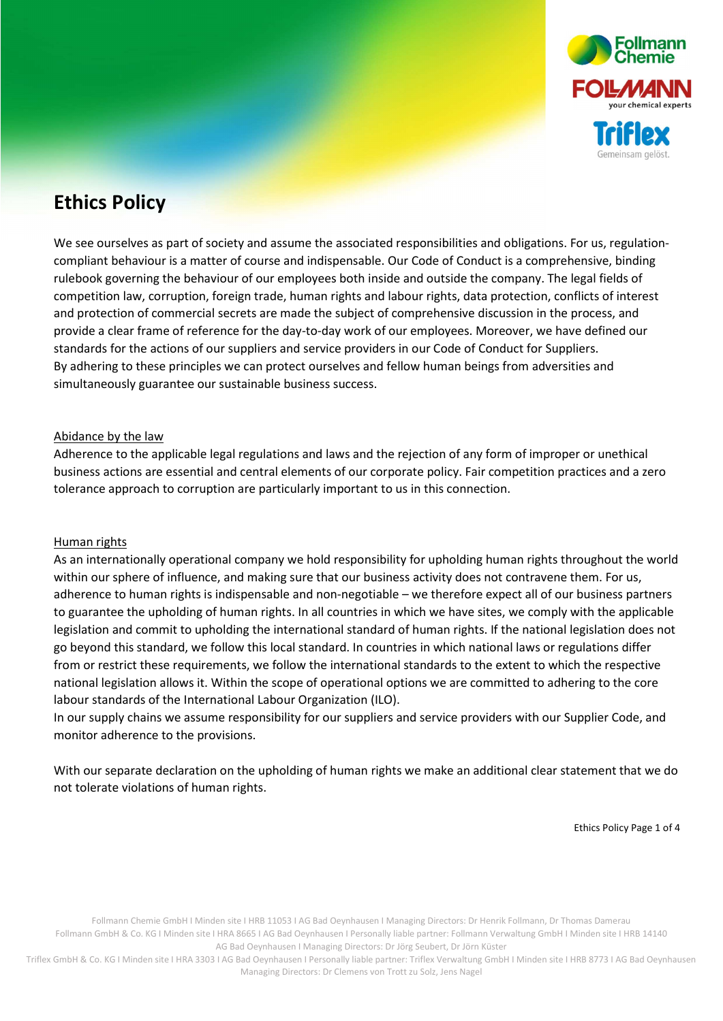

# Ethics Policy

We see ourselves as part of society and assume the associated responsibilities and obligations. For us, regulationcompliant behaviour is a matter of course and indispensable. Our Code of Conduct is a comprehensive, binding rulebook governing the behaviour of our employees both inside and outside the company. The legal fields of competition law, corruption, foreign trade, human rights and labour rights, data protection, conflicts of interest and protection of commercial secrets are made the subject of comprehensive discussion in the process, and provide a clear frame of reference for the day-to-day work of our employees. Moreover, we have defined our standards for the actions of our suppliers and service providers in our Code of Conduct for Suppliers. By adhering to these principles we can protect ourselves and fellow human beings from adversities and simultaneously guarantee our sustainable business success.

#### Abidance by the law

Adherence to the applicable legal regulations and laws and the rejection of any form of improper or unethical business actions are essential and central elements of our corporate policy. Fair competition practices and a zero tolerance approach to corruption are particularly important to us in this connection.

#### Human rights

As an internationally operational company we hold responsibility for upholding human rights throughout the world within our sphere of influence, and making sure that our business activity does not contravene them. For us, adherence to human rights is indispensable and non-negotiable – we therefore expect all of our business partners to guarantee the upholding of human rights. In all countries in which we have sites, we comply with the applicable legislation and commit to upholding the international standard of human rights. If the national legislation does not go beyond this standard, we follow this local standard. In countries in which national laws or regulations differ from or restrict these requirements, we follow the international standards to the extent to which the respective national legislation allows it. Within the scope of operational options we are committed to adhering to the core labour standards of the International Labour Organization (ILO).

In our supply chains we assume responsibility for our suppliers and service providers with our Supplier Code, and monitor adherence to the provisions.

With our separate declaration on the upholding of human rights we make an additional clear statement that we do not tolerate violations of human rights.

Ethics Policy Page 1 of 4

Follmann Chemie GmbH I Minden site I HRB 11053 I AG Bad Oeynhausen I Managing Directors: Dr Henrik Follmann, Dr Thomas Damerau Follmann GmbH & Co. KG I Minden site I HRA 8665 I AG Bad Oeynhausen I Personally liable partner: Follmann Verwaltung GmbH I Minden site I HRB 14140 AG Bad Oeynhausen I Managing Directors: Dr Jörg Seubert, Dr Jörn Küster

Triflex GmbH & Co. KG I Minden site I HRA 3303 I AG Bad Oeynhausen I Personally liable partner: Triflex Verwaltung GmbH I Minden site I HRB 8773 I AG Bad Oeynhausen Managing Directors: Dr Clemens von Trott zu Solz, Jens Nagel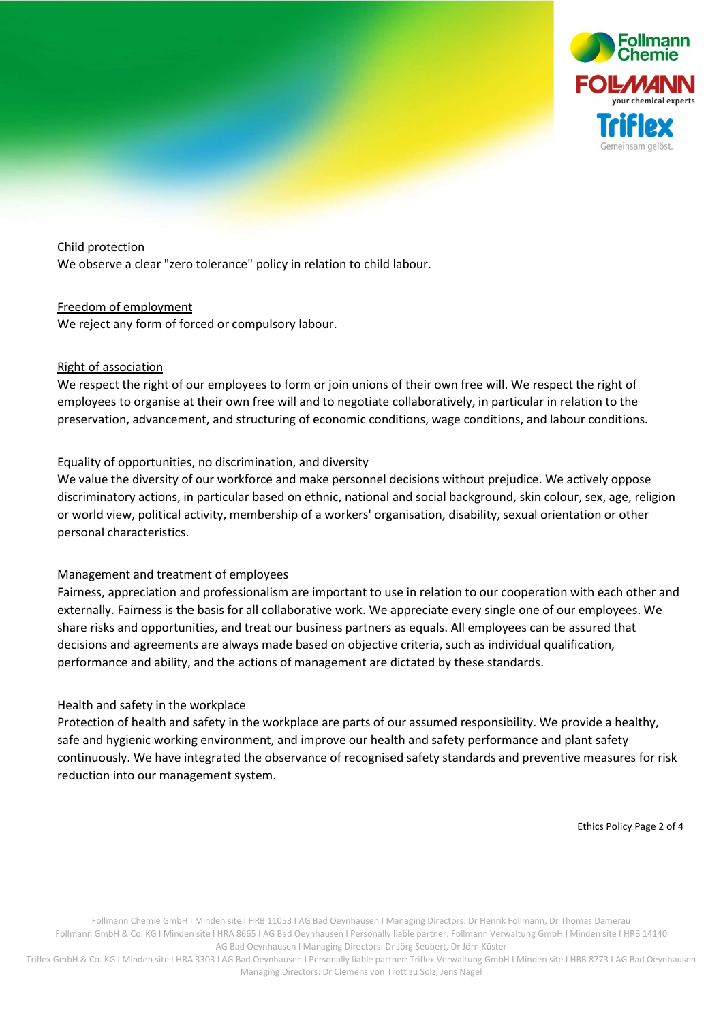

#### Child protection

We observe a clear "zero tolerance" policy in relation to child labour.

#### Freedom of employment

We reject any form of forced or compulsory labour.

#### Right of association

We respect the right of our employees to form or join unions of their own free will. We respect the right of employees to organise at their own free will and to negotiate collaboratively, in particular in relation to the preservation, advancement, and structuring of economic conditions, wage conditions, and labour conditions.

## Equality of opportunities, no discrimination, and diversity

We value the diversity of our workforce and make personnel decisions without prejudice. We actively oppose discriminatory actions, in particular based on ethnic, national and social background, skin colour, sex, age, religion or world view, political activity, membership of a workers' organisation, disability, sexual orientation or other personal characteristics.

#### Management and treatment of employees

Fairness, appreciation and professionalism are important to use in relation to our cooperation with each other and externally. Fairness is the basis for all collaborative work. We appreciate every single one of our employees. We share risks and opportunities, and treat our business partners as equals. All employees can be assured that decisions and agreements are always made based on objective criteria, such as individual qualification, performance and ability, and the actions of management are dictated by these standards.

#### Health and safety in the workplace

Protection of health and safety in the workplace are parts of our assumed responsibility. We provide a healthy, safe and hygienic working environment, and improve our health and safety performance and plant safety continuously. We have integrated the observance of recognised safety standards and preventive measures for risk reduction into our management system.

Ethics Policy Page 2 of 4

Follmann Chemie GmbH I Minden site I HRB 11053 I AG Bad Oeynhausen I Managing Directors: Dr Henrik Follmann, Dr Thomas Damerau Follmann GmbH & Co. KG I Minden site I HRA 8665 I AG Bad Oeynhausen I Personally liable partner: Follmann Verwaltung GmbH I Minden site I HRB 14140 AG Bad Oeynhausen I Managing Directors: Dr Jörg Seubert, Dr Jörn Küster

Triflex GmbH & Co. KG I Minden site I HRA 3303 I AG Bad Oeynhausen I Personally liable partner: Triflex Verwaltung GmbH I Minden site I HRB 8773 I AG Bad Oeynhausen Managing Directors: Dr Clemens von Trott zu Solz, Jens Nagel